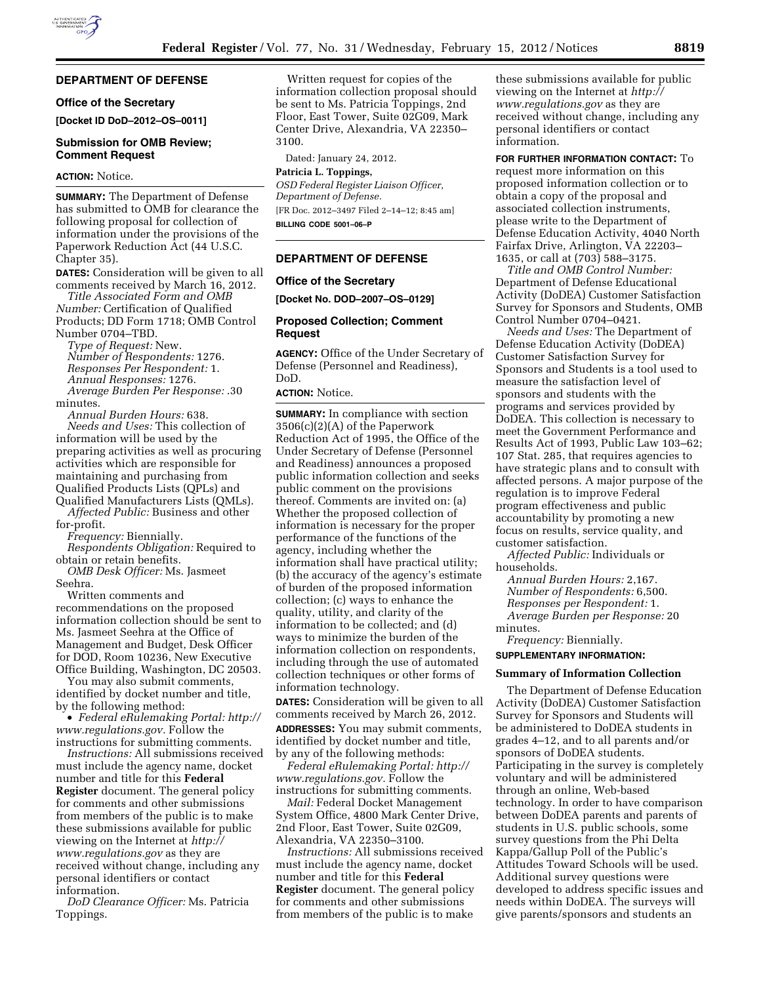## **DEPARTMENT OF DEFENSE**

## **Office of the Secretary**

**[Docket ID DoD–2012–OS–0011]** 

## **Submission for OMB Review; Comment Request**

#### **ACTION:** Notice.

**SUMMARY:** The Department of Defense has submitted to OMB for clearance the following proposal for collection of information under the provisions of the Paperwork Reduction Act (44 U.S.C. Chapter 35).

**DATES:** Consideration will be given to all comments received by March 16, 2012.

*Title Associated Form and OMB Number:* Certification of Qualified Products; DD Form 1718; OMB Control Number 0704–TBD.

*Type of Request:* New. *Number of Respondents:* 1276. *Responses Per Respondent:* 1. *Annual Responses:* 1276. *Average Burden Per Response:* .30 minutes.

*Annual Burden Hours:* 638. *Needs and Uses:* This collection of information will be used by the preparing activities as well as procuring activities which are responsible for maintaining and purchasing from Qualified Products Lists (QPLs) and Qualified Manufacturers Lists (QMLs).

*Affected Public:* Business and other for-profit.

*Frequency:* Biennially.

*Respondents Obligation:* Required to obtain or retain benefits.

*OMB Desk Officer:* Ms. Jasmeet Seehra.

Written comments and recommendations on the proposed information collection should be sent to Ms. Jasmeet Seehra at the Office of Management and Budget, Desk Officer for DOD, Room 10236, New Executive Office Building, Washington, DC 20503.

You may also submit comments, identified by docket number and title, by the following method:

• *Federal eRulemaking Portal: [http://](http://www.regulations.gov)  [www.regulations.gov.](http://www.regulations.gov)* Follow the instructions for submitting comments.

*Instructions:* All submissions received must include the agency name, docket number and title for this **Federal Register** document. The general policy for comments and other submissions from members of the public is to make these submissions available for public viewing on the Internet at *[http://](http://www.regulations.gov) [www.regulations.gov](http://www.regulations.gov)* as they are received without change, including any personal identifiers or contact information.

*DoD Clearance Officer:* Ms. Patricia Toppings.

Written request for copies of the information collection proposal should be sent to Ms. Patricia Toppings, 2nd Floor, East Tower, Suite 02G09, Mark Center Drive, Alexandria, VA 22350– 3100.

Dated: January 24, 2012.

#### **Patricia L. Toppings,**

*OSD Federal Register Liaison Officer, Department of Defense.*  [FR Doc. 2012–3497 Filed 2–14–12; 8:45 am] **BILLING CODE 5001–06–P** 

#### **DEPARTMENT OF DEFENSE**

#### **Office of the Secretary**

**[Docket No. DOD–2007–OS–0129]** 

# **Proposed Collection; Comment Request**

**AGENCY:** Office of the Under Secretary of Defense (Personnel and Readiness), DoD.

#### **ACTION:** Notice.

**SUMMARY:** In compliance with section 3506(c)(2)(A) of the Paperwork Reduction Act of 1995, the Office of the Under Secretary of Defense (Personnel and Readiness) announces a proposed public information collection and seeks public comment on the provisions thereof. Comments are invited on: (a) Whether the proposed collection of information is necessary for the proper performance of the functions of the agency, including whether the information shall have practical utility; (b) the accuracy of the agency's estimate of burden of the proposed information collection; (c) ways to enhance the quality, utility, and clarity of the information to be collected; and (d) ways to minimize the burden of the information collection on respondents, including through the use of automated collection techniques or other forms of information technology.

**DATES:** Consideration will be given to all comments received by March 26, 2012.

**ADDRESSES:** You may submit comments, identified by docket number and title, by any of the following methods:

*Federal eRulemaking Portal: [http://](http://www.regulations.gov)  [www.regulations.gov.](http://www.regulations.gov)* Follow the instructions for submitting comments.

*Mail:* Federal Docket Management System Office, 4800 Mark Center Drive, 2nd Floor, East Tower, Suite 02G09, Alexandria, VA 22350–3100.

*Instructions:* All submissions received must include the agency name, docket number and title for this **Federal Register** document. The general policy for comments and other submissions from members of the public is to make

these submissions available for public viewing on the Internet at *[http://](http://www.regulations.gov) [www.regulations.gov](http://www.regulations.gov)* as they are received without change, including any personal identifiers or contact information.

**FOR FURTHER INFORMATION CONTACT:** To request more information on this proposed information collection or to obtain a copy of the proposal and associated collection instruments, please write to the Department of Defense Education Activity, 4040 North Fairfax Drive, Arlington, VA 22203– 1635, or call at (703) 588–3175.

*Title and OMB Control Number:*  Department of Defense Educational Activity (DoDEA) Customer Satisfaction Survey for Sponsors and Students, OMB Control Number 0704–0421.

*Needs and Uses:* The Department of Defense Education Activity (DoDEA) Customer Satisfaction Survey for Sponsors and Students is a tool used to measure the satisfaction level of sponsors and students with the programs and services provided by DoDEA. This collection is necessary to meet the Government Performance and Results Act of 1993, Public Law 103–62; 107 Stat. 285, that requires agencies to have strategic plans and to consult with affected persons. A major purpose of the regulation is to improve Federal program effectiveness and public accountability by promoting a new focus on results, service quality, and customer satisfaction.

*Affected Public:* Individuals or households.

*Annual Burden Hours:* 2,167. *Number of Respondents:* 6,500. *Responses per Respondent:* 1. *Average Burden per Response:* 20 minutes.

*Frequency:* Biennially.

#### **SUPPLEMENTARY INFORMATION:**

## **Summary of Information Collection**

The Department of Defense Education Activity (DoDEA) Customer Satisfaction Survey for Sponsors and Students will be administered to DoDEA students in grades 4–12, and to all parents and/or sponsors of DoDEA students. Participating in the survey is completely voluntary and will be administered through an online, Web-based technology. In order to have comparison between DoDEA parents and parents of students in U.S. public schools, some survey questions from the Phi Delta Kappa/Gallup Poll of the Public's Attitudes Toward Schools will be used. Additional survey questions were developed to address specific issues and needs within DoDEA. The surveys will give parents/sponsors and students an